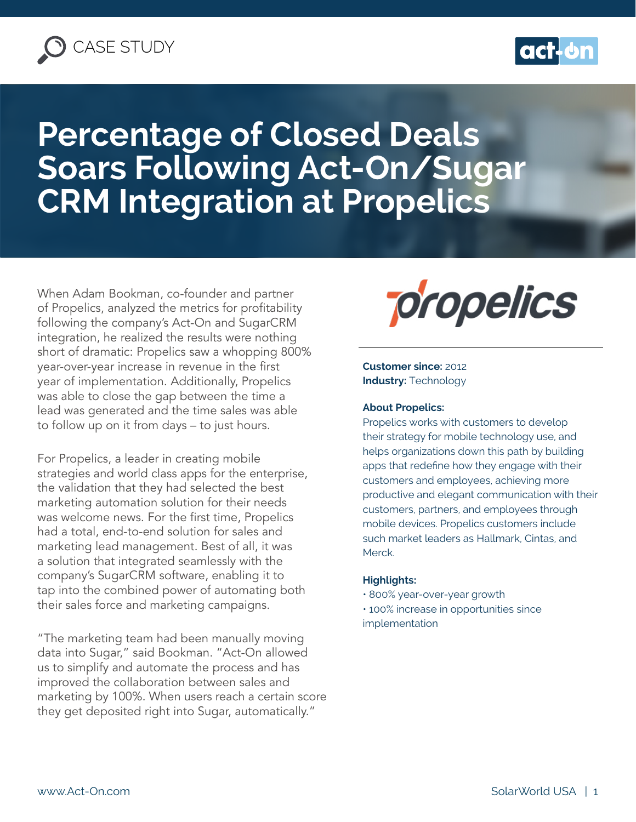



# **Percentage of Closed Deals Soars Following Act-On/Sugar CRM Integration at Propelics**

When Adam Bookman, co-founder and partner of Propelics, analyzed the metrics for profitability following the company's Act-On and SugarCRM integration, he realized the results were nothing short of dramatic: Propelics saw a whopping 800% year-over-year increase in revenue in the first year of implementation. Additionally, Propelics was able to close the gap between the time a lead was generated and the time sales was able to follow up on it from days – to just hours.

For Propelics, a leader in creating mobile strategies and world class apps for the enterprise, the validation that they had selected the best marketing automation solution for their needs was welcome news. For the first time, Propelics had a total, end-to-end solution for sales and marketing lead management. Best of all, it was a solution that integrated seamlessly with the company's SugarCRM software, enabling it to tap into the combined power of automating both their sales force and marketing campaigns.

"The marketing team had been manually moving data into Sugar," said Bookman. "Act-On allowed us to simplify and automate the process and has improved the collaboration between sales and marketing by 100%. When users reach a certain score they get deposited right into Sugar, automatically."



**Customer since:** 2012 **Industry: Technology** 

#### **About Propelics:**

Propelics works with customers to develop their strategy for mobile technology use, and helps organizations down this path by building apps that redefine how they engage with their customers and employees, achieving more productive and elegant communication with their customers, partners, and employees through mobile devices. Propelics customers include such market leaders as Hallmark, Cintas, and Merck.

#### **Highlights:**

- 800% year-over-year growth
- 100% increase in opportunities since implementation